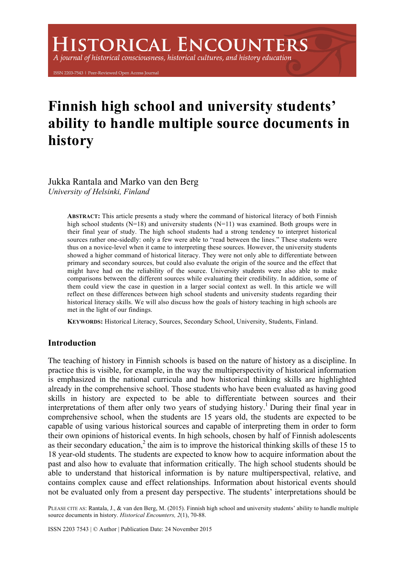# **ISTORICAL ENCOUNTERS**

A journal of historical consciousness, historical cultures, and history education

ISSN 2203-7543 | Peer-Reviewed Open Access Journal

# **Finnish high school and university students' ability to handle multiple source documents in history**

Jukka Rantala and Marko van den Berg *University of Helsinki, Finland* 

> **ABSTRACT:** This article presents a study where the command of historical literacy of both Finnish high school students  $(N=18)$  and university students  $(N=11)$  was examined. Both groups were in their final year of study. The high school students had a strong tendency to interpret historical sources rather one-sidedly: only a few were able to "read between the lines." These students were thus on a novice-level when it came to interpreting these sources. However, the university students showed a higher command of historical literacy. They were not only able to differentiate between primary and secondary sources, but could also evaluate the origin of the source and the effect that might have had on the reliability of the source. University students were also able to make comparisons between the different sources while evaluating their credibility. In addition, some of them could view the case in question in a larger social context as well. In this article we will reflect on these differences between high school students and university students regarding their historical literacy skills. We will also discuss how the goals of history teaching in high schools are met in the light of our findings.

**KEYWORDS:** Historical Literacy, Sources, Secondary School, University, Students, Finland.

# **Introduction**

The teaching of history in Finnish schools is based on the nature of history as a discipline. In practice this is visible, for example, in the way the multiperspectivity of historical information is emphasized in the national curricula and how historical thinking skills are highlighted already in the comprehensive school. Those students who have been evaluated as having good skills in history are expected to be able to differentiate between sources and their interpretations of them after only two years of studying history.<sup>1</sup> During their final year in comprehensive school, when the students are 15 years old, the students are expected to be capable of using various historical sources and capable of interpreting them in order to form their own opinions of historical events. In high schools, chosen by half of Finnish adolescents as their secondary education, $2$  the aim is to improve the historical thinking skills of these 15 to 18 year-old students. The students are expected to know how to acquire information about the past and also how to evaluate that information critically. The high school students should be able to understand that historical information is by nature multiperspectival, relative, and contains complex cause and effect relationships. Information about historical events should not be evaluated only from a present day perspective. The students' interpretations should be

PLEASE CITE AS: Rantala, J., & van den Berg, M. (2015). Finnish high school and university students' ability to handle multiple source documents in history. *Historical Encounters, 2*(1), 70-88.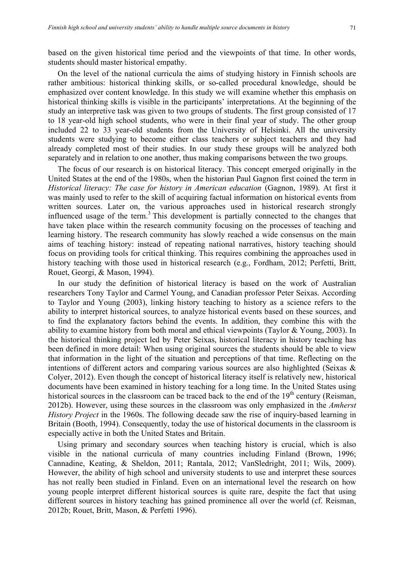based on the given historical time period and the viewpoints of that time. In other words, students should master historical empathy.

On the level of the national curricula the aims of studying history in Finnish schools are rather ambitious: historical thinking skills, or so-called procedural knowledge, should be emphasized over content knowledge. In this study we will examine whether this emphasis on historical thinking skills is visible in the participants' interpretations. At the beginning of the study an interpretive task was given to two groups of students. The first group consisted of 17 to 18 year-old high school students, who were in their final year of study. The other group included 22 to 33 year-old students from the University of Helsinki. All the university students were studying to become either class teachers or subject teachers and they had already completed most of their studies. In our study these groups will be analyzed both separately and in relation to one another, thus making comparisons between the two groups.

The focus of our research is on historical literacy. This concept emerged originally in the United States at the end of the 1980s, when the historian Paul Gagnon first coined the term in *Historical literacy: The case for history in American education* (Gagnon, 1989). At first it was mainly used to refer to the skill of acquiring factual information on historical events from written sources. Later on, the various approaches used in historical research strongly influenced usage of the term.<sup>3</sup> This development is partially connected to the changes that have taken place within the research community focusing on the processes of teaching and learning history. The research community has slowly reached a wide consensus on the main aims of teaching history: instead of repeating national narratives, history teaching should focus on providing tools for critical thinking. This requires combining the approaches used in history teaching with those used in historical research (e.g., Fordham, 2012; Perfetti, Britt, Rouet, Georgi, & Mason, 1994).

In our study the definition of historical literacy is based on the work of Australian researchers Tony Taylor and Carmel Young, and Canadian professor Peter Seixas. According to Taylor and Young (2003), linking history teaching to history as a science refers to the ability to interpret historical sources, to analyze historical events based on these sources, and to find the explanatory factors behind the events. In addition, they combine this with the ability to examine history from both moral and ethical viewpoints (Taylor & Young, 2003). In the historical thinking project led by Peter Seixas, historical literacy in history teaching has been defined in more detail: When using original sources the students should be able to view that information in the light of the situation and perceptions of that time. Reflecting on the intentions of different actors and comparing various sources are also highlighted (Seixas & Colyer, 2012). Even though the concept of historical literacy itself is relatively new, historical documents have been examined in history teaching for a long time. In the United States using historical sources in the classroom can be traced back to the end of the  $19<sup>th</sup>$  century (Reisman, 2012b). However, using these sources in the classroom was only emphasized in the *Amherst History Project* in the 1960s. The following decade saw the rise of inquiry-based learning in Britain (Booth, 1994). Consequently, today the use of historical documents in the classroom is especially active in both the United States and Britain.

Using primary and secondary sources when teaching history is crucial, which is also visible in the national curricula of many countries including Finland (Brown, 1996; Cannadine, Keating, & Sheldon, 2011; Rantala, 2012; VanSledright, 2011; Wils, 2009). However, the ability of high school and university students to use and interpret these sources has not really been studied in Finland. Even on an international level the research on how young people interpret different historical sources is quite rare, despite the fact that using different sources in history teaching has gained prominence all over the world (cf. Reisman, 2012b; Rouet, Britt, Mason, & Perfetti 1996).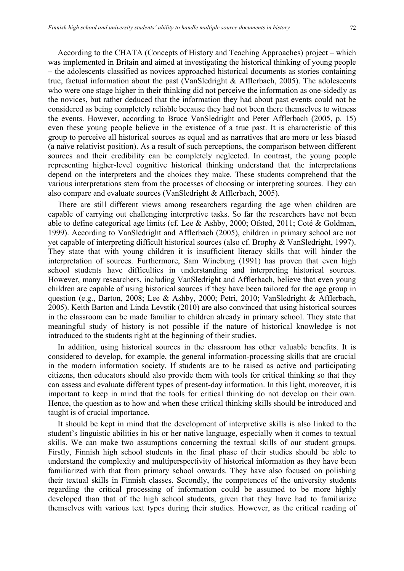According to the CHATA (Concepts of History and Teaching Approaches) project – which was implemented in Britain and aimed at investigating the historical thinking of young people – the adolescents classified as novices approached historical documents as stories containing true, factual information about the past (VanSledright & Afflerbach, 2005). The adolescents who were one stage higher in their thinking did not perceive the information as one-sidedly as the novices, but rather deduced that the information they had about past events could not be considered as being completely reliable because they had not been there themselves to witness the events. However, according to Bruce VanSledright and Peter Afflerbach (2005, p. 15) even these young people believe in the existence of a true past. It is characteristic of this group to perceive all historical sources as equal and as narratives that are more or less biased (a naïve relativist position). As a result of such perceptions, the comparison between different sources and their credibility can be completely neglected. In contrast, the young people representing higher-level cognitive historical thinking understand that the interpretations depend on the interpreters and the choices they make. These students comprehend that the various interpretations stem from the processes of choosing or interpreting sources. They can also compare and evaluate sources (VanSledright & Afflerbach, 2005).

There are still different views among researchers regarding the age when children are capable of carrying out challenging interpretive tasks. So far the researchers have not been able to define categorical age limits (cf. Lee & Ashby, 2000; Ofsted, 2011; Coté & Goldman, 1999). According to VanSledright and Afflerbach (2005), children in primary school are not yet capable of interpreting difficult historical sources (also cf. Brophy & VanSledright, 1997). They state that with young children it is insufficient literacy skills that will hinder the interpretation of sources. Furthermore, Sam Wineburg (1991) has proven that even high school students have difficulties in understanding and interpreting historical sources. However, many researchers, including VanSledright and Afflerbach, believe that even young children are capable of using historical sources if they have been tailored for the age group in question (e.g., Barton, 2008; Lee & Ashby, 2000; Petri, 2010; VanSledright & Afflerbach, 2005). Keith Barton and Linda Levstik (2010) are also convinced that using historical sources in the classroom can be made familiar to children already in primary school. They state that meaningful study of history is not possible if the nature of historical knowledge is not introduced to the students right at the beginning of their studies.

In addition, using historical sources in the classroom has other valuable benefits. It is considered to develop, for example, the general information-processing skills that are crucial in the modern information society. If students are to be raised as active and participating citizens, then educators should also provide them with tools for critical thinking so that they can assess and evaluate different types of present-day information. In this light, moreover, it is important to keep in mind that the tools for critical thinking do not develop on their own. Hence, the question as to how and when these critical thinking skills should be introduced and taught is of crucial importance.

It should be kept in mind that the development of interpretive skills is also linked to the student's linguistic abilities in his or her native language, especially when it comes to textual skills. We can make two assumptions concerning the textual skills of our student groups. Firstly, Finnish high school students in the final phase of their studies should be able to understand the complexity and multiperspectivity of historical information as they have been familiarized with that from primary school onwards. They have also focused on polishing their textual skills in Finnish classes. Secondly, the competences of the university students regarding the critical processing of information could be assumed to be more highly developed than that of the high school students, given that they have had to familiarize themselves with various text types during their studies. However, as the critical reading of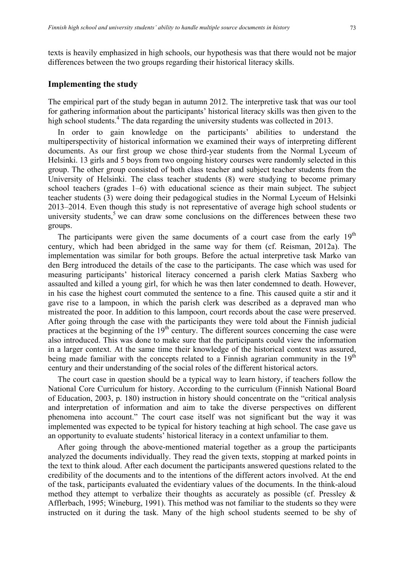texts is heavily emphasized in high schools, our hypothesis was that there would not be major differences between the two groups regarding their historical literacy skills.

#### **Implementing the study**

The empirical part of the study began in autumn 2012. The interpretive task that was our tool for gathering information about the participants' historical literacy skills was then given to the high school students.<sup>4</sup> The data regarding the university students was collected in 2013.

In order to gain knowledge on the participants' abilities to understand the multiperspectivity of historical information we examined their ways of interpreting different documents. As our first group we chose third-year students from the Normal Lyceum of Helsinki. 13 girls and 5 boys from two ongoing history courses were randomly selected in this group. The other group consisted of both class teacher and subject teacher students from the University of Helsinki. The class teacher students (8) were studying to become primary school teachers (grades 1–6) with educational science as their main subject. The subject teacher students (3) were doing their pedagogical studies in the Normal Lyceum of Helsinki 2013–2014. Even though this study is not representative of average high school students or university students,<sup>5</sup> we can draw some conclusions on the differences between these two groups.

The participants were given the same documents of a court case from the early  $19<sup>th</sup>$ century, which had been abridged in the same way for them (cf. Reisman, 2012a). The implementation was similar for both groups. Before the actual interpretive task Marko van den Berg introduced the details of the case to the participants. The case which was used for measuring participants' historical literacy concerned a parish clerk Matias Saxberg who assaulted and killed a young girl, for which he was then later condemned to death. However, in his case the highest court commuted the sentence to a fine. This caused quite a stir and it gave rise to a lampoon, in which the parish clerk was described as a depraved man who mistreated the poor. In addition to this lampoon, court records about the case were preserved. After going through the case with the participants they were told about the Finnish judicial practices at the beginning of the  $19<sup>th</sup>$  century. The different sources concerning the case were also introduced. This was done to make sure that the participants could view the information in a larger context. At the same time their knowledge of the historical context was assured, being made familiar with the concepts related to a Finnish agrarian community in the  $19<sup>th</sup>$ century and their understanding of the social roles of the different historical actors.

The court case in question should be a typical way to learn history, if teachers follow the National Core Curriculum for history. According to the curriculum (Finnish National Board of Education, 2003, p. 180) instruction in history should concentrate on the "critical analysis and interpretation of information and aim to take the diverse perspectives on different phenomena into account." The court case itself was not significant but the way it was implemented was expected to be typical for history teaching at high school. The case gave us an opportunity to evaluate students' historical literacy in a context unfamiliar to them.

After going through the above-mentioned material together as a group the participants analyzed the documents individually. They read the given texts, stopping at marked points in the text to think aloud. After each document the participants answered questions related to the credibility of the documents and to the intentions of the different actors involved. At the end of the task, participants evaluated the evidentiary values of the documents. In the think-aloud method they attempt to verbalize their thoughts as accurately as possible (cf. Pressley  $\&$ Afflerbach, 1995; Wineburg, 1991). This method was not familiar to the students so they were instructed on it during the task. Many of the high school students seemed to be shy of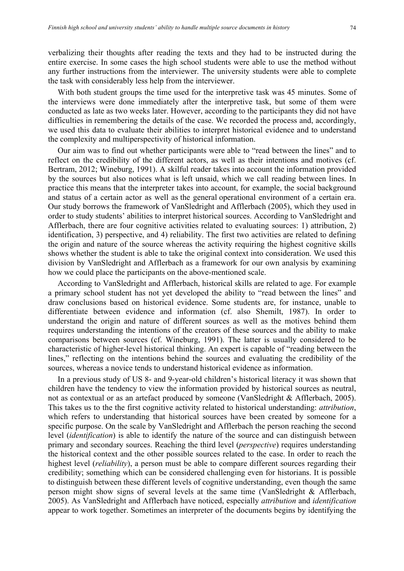verbalizing their thoughts after reading the texts and they had to be instructed during the entire exercise. In some cases the high school students were able to use the method without any further instructions from the interviewer. The university students were able to complete the task with considerably less help from the interviewer.

With both student groups the time used for the interpretive task was 45 minutes. Some of the interviews were done immediately after the interpretive task, but some of them were conducted as late as two weeks later. However, according to the participants they did not have difficulties in remembering the details of the case. We recorded the process and, accordingly, we used this data to evaluate their abilities to interpret historical evidence and to understand the complexity and multiperspectivity of historical information.

Our aim was to find out whether participants were able to "read between the lines" and to reflect on the credibility of the different actors, as well as their intentions and motives (cf. Bertram, 2012; Wineburg, 1991). A skilful reader takes into account the information provided by the sources but also notices what is left unsaid, which we call reading between lines. In practice this means that the interpreter takes into account, for example, the social background and status of a certain actor as well as the general operational environment of a certain era. Our study borrows the framework of VanSledright and Afflerbach (2005), which they used in order to study students' abilities to interpret historical sources. According to VanSledright and Afflerbach, there are four cognitive activities related to evaluating sources: 1) attribution, 2) identification, 3) perspective, and 4) reliability. The first two activities are related to defining the origin and nature of the source whereas the activity requiring the highest cognitive skills shows whether the student is able to take the original context into consideration. We used this division by VanSledright and Afflerbach as a framework for our own analysis by examining how we could place the participants on the above-mentioned scale.

According to VanSledright and Afflerbach, historical skills are related to age. For example a primary school student has not yet developed the ability to "read between the lines" and draw conclusions based on historical evidence. Some students are, for instance, unable to differentiate between evidence and information (cf. also Shemilt, 1987). In order to understand the origin and nature of different sources as well as the motives behind them requires understanding the intentions of the creators of these sources and the ability to make comparisons between sources (cf. Wineburg, 1991). The latter is usually considered to be characteristic of higher-level historical thinking. An expert is capable of "reading between the lines," reflecting on the intentions behind the sources and evaluating the credibility of the sources, whereas a novice tends to understand historical evidence as information.

In a previous study of US 8- and 9-year-old children's historical literacy it was shown that children have the tendency to view the information provided by historical sources as neutral, not as contextual or as an artefact produced by someone (VanSledright & Afflerbach, 2005). This takes us to the the first cognitive activity related to historical understanding: *attribution*, which refers to understanding that historical sources have been created by someone for a specific purpose. On the scale by VanSledright and Afflerbach the person reaching the second level (*identification*) is able to identify the nature of the source and can distinguish between primary and secondary sources. Reaching the third level (*perspective*) requires understanding the historical context and the other possible sources related to the case. In order to reach the highest level (*reliability*), a person must be able to compare different sources regarding their credibility; something which can be considered challenging even for historians. It is possible to distinguish between these different levels of cognitive understanding, even though the same person might show signs of several levels at the same time (VanSledright & Afflerbach, 2005). As VanSledright and Afflerbach have noticed, especially *attribution* and *identification* appear to work together. Sometimes an interpreter of the documents begins by identifying the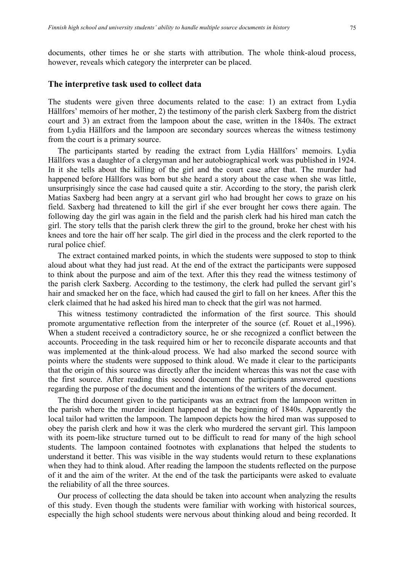documents, other times he or she starts with attribution. The whole think-aloud process, however, reveals which category the interpreter can be placed.

#### **The interpretive task used to collect data**

The students were given three documents related to the case: 1) an extract from Lydia Hällfors' memoirs of her mother, 2) the testimony of the parish clerk Saxberg from the district court and 3) an extract from the lampoon about the case, written in the 1840s. The extract from Lydia Hällfors and the lampoon are secondary sources whereas the witness testimony from the court is a primary source.

The participants started by reading the extract from Lydia Hällfors' memoirs. Lydia Hällfors was a daughter of a clergyman and her autobiographical work was published in 1924. In it she tells about the killing of the girl and the court case after that. The murder had happened before Hällfors was born but she heard a story about the case when she was little, unsurprisingly since the case had caused quite a stir. According to the story, the parish clerk Matias Saxberg had been angry at a servant girl who had brought her cows to graze on his field. Saxberg had threatened to kill the girl if she ever brought her cows there again. The following day the girl was again in the field and the parish clerk had his hired man catch the girl. The story tells that the parish clerk threw the girl to the ground, broke her chest with his knees and tore the hair off her scalp. The girl died in the process and the clerk reported to the rural police chief.

The extract contained marked points, in which the students were supposed to stop to think aloud about what they had just read. At the end of the extract the participants were supposed to think about the purpose and aim of the text. After this they read the witness testimony of the parish clerk Saxberg. According to the testimony, the clerk had pulled the servant girl's hair and smacked her on the face, which had caused the girl to fall on her knees. After this the clerk claimed that he had asked his hired man to check that the girl was not harmed.

This witness testimony contradicted the information of the first source. This should promote argumentative reflection from the interpreter of the source (cf. Rouet et al.,1996). When a student received a contradictory source, he or she recognized a conflict between the accounts. Proceeding in the task required him or her to reconcile disparate accounts and that was implemented at the think-aloud process. We had also marked the second source with points where the students were supposed to think aloud. We made it clear to the participants that the origin of this source was directly after the incident whereas this was not the case with the first source. After reading this second document the participants answered questions regarding the purpose of the document and the intentions of the writers of the document.

The third document given to the participants was an extract from the lampoon written in the parish where the murder incident happened at the beginning of 1840s. Apparently the local tailor had written the lampoon. The lampoon depicts how the hired man was supposed to obey the parish clerk and how it was the clerk who murdered the servant girl. This lampoon with its poem-like structure turned out to be difficult to read for many of the high school students. The lampoon contained footnotes with explanations that helped the students to understand it better. This was visible in the way students would return to these explanations when they had to think aloud. After reading the lampoon the students reflected on the purpose of it and the aim of the writer. At the end of the task the participants were asked to evaluate the reliability of all the three sources.

Our process of collecting the data should be taken into account when analyzing the results of this study. Even though the students were familiar with working with historical sources, especially the high school students were nervous about thinking aloud and being recorded. It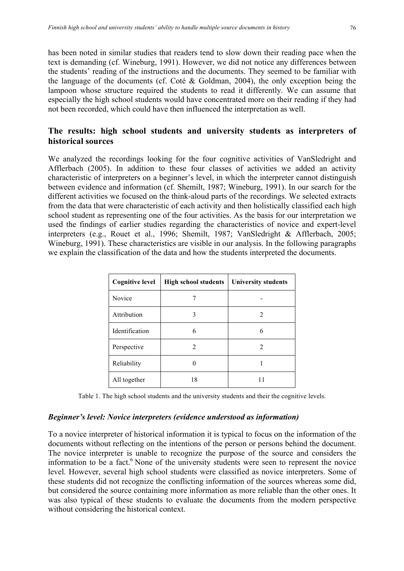has been noted in similar studies that readers tend to slow down their reading pace when the text is demanding (cf. Wineburg, 1991). However, we did not notice any differences between the students' reading of the instructions and the documents. They seemed to be familiar with the language of the documents (cf. Coté & Goldman, 2004), the only exception being the lampoon whose structure required the students to read it differently. We can assume that especially the high school students would have concentrated more on their reading if they had not been recorded, which could have then influenced the interpretation as well.

# **The results: high school students and university students as interpreters of historical sources**

We analyzed the recordings looking for the four cognitive activities of VanSledright and Afflerbach (2005). In addition to these four classes of activities we added an activity characteristic of interpreters on a beginner's level, in which the interpreter cannot distinguish between evidence and information (cf. Shemilt, 1987; Wineburg, 1991). In our search for the different activities we focused on the think-aloud parts of the recordings. We selected extracts from the data that were characteristic of each activity and then holistically classified each high school student as representing one of the four activities. As the basis for our interpretation we used the findings of earlier studies regarding the characteristics of novice and expert-level interpreters (e.g., Rouet et al., 1996; Shemilt, 1987; VanSledright & Afflerbach, 2005; Wineburg, 1991). These characteristics are visible in our analysis. In the following paragraphs we explain the classification of the data and how the students interpreted the documents.

| <b>Cognitive level</b> | <b>High school students</b> | <b>University students</b> |
|------------------------|-----------------------------|----------------------------|
| Novice                 |                             |                            |
| Attribution            | 3                           | 2                          |
| Identification         | 6                           | 6                          |
| Perspective            | 2                           | $\mathfrak{D}$             |
| Reliability            |                             |                            |
| All together           | 18                          |                            |

Table 1. The high school students and the university students and their the cognitive levels.

#### *Beginner's level: Novice interpreters (evidence understood as information)*

To a novice interpreter of historical information it is typical to focus on the information of the documents without reflecting on the intentions of the person or persons behind the document. The novice interpreter is unable to recognize the purpose of the source and considers the information to be a fact.<sup> $6$ </sup> None of the university students were seen to represent the novice level. However, several high school students were classified as novice interpreters. Some of these students did not recognize the conflicting information of the sources whereas some did, but considered the source containing more information as more reliable than the other ones. It was also typical of these students to evaluate the documents from the modern perspective without considering the historical context.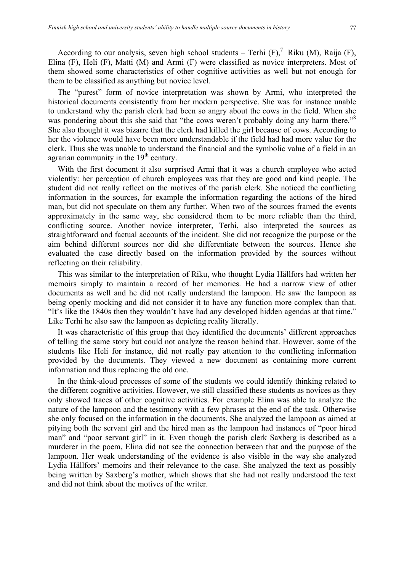According to our analysis, seven high school students – Terhi  $(F)$ ,<sup>7</sup> Riku  $(M)$ , Raija  $(F)$ , Elina (F), Heli (F), Matti (M) and Armi (F) were classified as novice interpreters. Most of them showed some characteristics of other cognitive activities as well but not enough for them to be classified as anything but novice level.

The "purest" form of novice interpretation was shown by Armi, who interpreted the historical documents consistently from her modern perspective. She was for instance unable to understand why the parish clerk had been so angry about the cows in the field. When she was pondering about this she said that "the cows weren't probably doing any harm there."<sup>8</sup> She also thought it was bizarre that the clerk had killed the girl because of cows. According to her the violence would have been more understandable if the field had had more value for the clerk. Thus she was unable to understand the financial and the symbolic value of a field in an agrarian community in the  $19<sup>th</sup>$  century.

With the first document it also surprised Armi that it was a church employee who acted violently: her perception of church employees was that they are good and kind people. The student did not really reflect on the motives of the parish clerk. She noticed the conflicting information in the sources, for example the information regarding the actions of the hired man, but did not speculate on them any further. When two of the sources framed the events approximately in the same way, she considered them to be more reliable than the third, conflicting source. Another novice interpreter, Terhi, also interpreted the sources as straightforward and factual accounts of the incident. She did not recognize the purpose or the aim behind different sources nor did she differentiate between the sources. Hence she evaluated the case directly based on the information provided by the sources without reflecting on their reliability.

This was similar to the interpretation of Riku, who thought Lydia Hällfors had written her memoirs simply to maintain a record of her memories. He had a narrow view of other documents as well and he did not really understand the lampoon. He saw the lampoon as being openly mocking and did not consider it to have any function more complex than that. "It's like the 1840s then they wouldn't have had any developed hidden agendas at that time." Like Terhi he also saw the lampoon as depicting reality literally.

It was characteristic of this group that they identified the documents' different approaches of telling the same story but could not analyze the reason behind that. However, some of the students like Heli for instance, did not really pay attention to the conflicting information provided by the documents. They viewed a new document as containing more current information and thus replacing the old one.

In the think-aloud processes of some of the students we could identify thinking related to the different cognitive activities. However, we still classified these students as novices as they only showed traces of other cognitive activities. For example Elina was able to analyze the nature of the lampoon and the testimony with a few phrases at the end of the task. Otherwise she only focused on the information in the documents. She analyzed the lampoon as aimed at pitying both the servant girl and the hired man as the lampoon had instances of "poor hired man" and "poor servant girl" in it. Even though the parish clerk Saxberg is described as a murderer in the poem, Elina did not see the connection between that and the purpose of the lampoon. Her weak understanding of the evidence is also visible in the way she analyzed Lydia Hällfors' memoirs and their relevance to the case. She analyzed the text as possibly being written by Saxberg's mother, which shows that she had not really understood the text and did not think about the motives of the writer.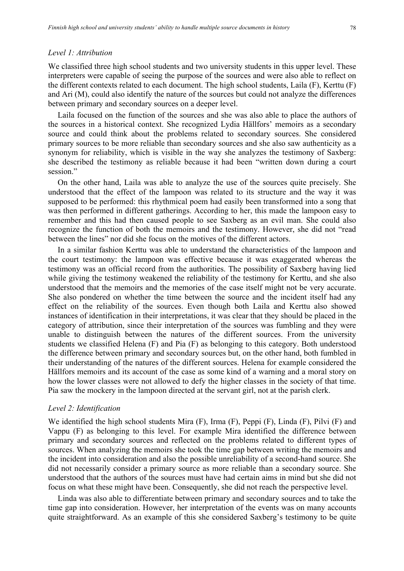#### *Level 1: Attribution*

We classified three high school students and two university students in this upper level. These interpreters were capable of seeing the purpose of the sources and were also able to reflect on the different contexts related to each document. The high school students, Laila (F), Kerttu (F) and Ari (M), could also identify the nature of the sources but could not analyze the differences between primary and secondary sources on a deeper level.

Laila focused on the function of the sources and she was also able to place the authors of the sources in a historical context. She recognized Lydia Hällfors' memoirs as a secondary source and could think about the problems related to secondary sources. She considered primary sources to be more reliable than secondary sources and she also saw authenticity as a synonym for reliability, which is visible in the way she analyzes the testimony of Saxberg: she described the testimony as reliable because it had been "written down during a court session."

On the other hand, Laila was able to analyze the use of the sources quite precisely. She understood that the effect of the lampoon was related to its structure and the way it was supposed to be performed: this rhythmical poem had easily been transformed into a song that was then performed in different gatherings. According to her, this made the lampoon easy to remember and this had then caused people to see Saxberg as an evil man. She could also recognize the function of both the memoirs and the testimony. However, she did not "read between the lines" nor did she focus on the motives of the different actors.

In a similar fashion Kerttu was able to understand the characteristics of the lampoon and the court testimony: the lampoon was effective because it was exaggerated whereas the testimony was an official record from the authorities. The possibility of Saxberg having lied while giving the testimony weakened the reliability of the testimony for Kerttu, and she also understood that the memoirs and the memories of the case itself might not be very accurate. She also pondered on whether the time between the source and the incident itself had any effect on the reliability of the sources. Even though both Laila and Kerttu also showed instances of identification in their interpretations, it was clear that they should be placed in the category of attribution, since their interpretation of the sources was fumbling and they were unable to distinguish between the natures of the different sources. From the university students we classified Helena (F) and Pia (F) as belonging to this category. Both understood the difference between primary and secondary sources but, on the other hand, both fumbled in their understanding of the natures of the different sources. Helena for example considered the Hällfors memoirs and its account of the case as some kind of a warning and a moral story on how the lower classes were not allowed to defy the higher classes in the society of that time. Pia saw the mockery in the lampoon directed at the servant girl, not at the parish clerk.

#### *Level 2: Identification*

We identified the high school students Mira (F), Irma (F), Peppi (F), Linda (F), Pilvi (F) and Vappu (F) as belonging to this level. For example Mira identified the difference between primary and secondary sources and reflected on the problems related to different types of sources. When analyzing the memoirs she took the time gap between writing the memoirs and the incident into consideration and also the possible unreliability of a second-hand source. She did not necessarily consider a primary source as more reliable than a secondary source. She understood that the authors of the sources must have had certain aims in mind but she did not focus on what these might have been. Consequently, she did not reach the perspective level.

Linda was also able to differentiate between primary and secondary sources and to take the time gap into consideration. However, her interpretation of the events was on many accounts quite straightforward. As an example of this she considered Saxberg's testimony to be quite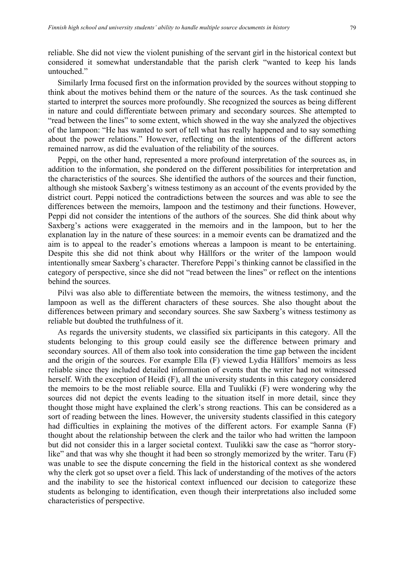reliable. She did not view the violent punishing of the servant girl in the historical context but considered it somewhat understandable that the parish clerk "wanted to keep his lands untouched."

Similarly Irma focused first on the information provided by the sources without stopping to think about the motives behind them or the nature of the sources. As the task continued she started to interpret the sources more profoundly. She recognized the sources as being different in nature and could differentiate between primary and secondary sources. She attempted to "read between the lines" to some extent, which showed in the way she analyzed the objectives of the lampoon: "He has wanted to sort of tell what has really happened and to say something about the power relations." However, reflecting on the intentions of the different actors remained narrow, as did the evaluation of the reliability of the sources.

Peppi, on the other hand, represented a more profound interpretation of the sources as, in addition to the information, she pondered on the different possibilities for interpretation and the characteristics of the sources. She identified the authors of the sources and their function, although she mistook Saxberg's witness testimony as an account of the events provided by the district court. Peppi noticed the contradictions between the sources and was able to see the differences between the memoirs, lampoon and the testimony and their functions. However, Peppi did not consider the intentions of the authors of the sources. She did think about why Saxberg's actions were exaggerated in the memoirs and in the lampoon, but to her the explanation lay in the nature of these sources: in a memoir events can be dramatized and the aim is to appeal to the reader's emotions whereas a lampoon is meant to be entertaining. Despite this she did not think about why Hällfors or the writer of the lampoon would intentionally smear Saxberg's character. Therefore Peppi's thinking cannot be classified in the category of perspective, since she did not "read between the lines" or reflect on the intentions behind the sources.

Pilvi was also able to differentiate between the memoirs, the witness testimony, and the lampoon as well as the different characters of these sources. She also thought about the differences between primary and secondary sources. She saw Saxberg's witness testimony as reliable but doubted the truthfulness of it.

As regards the university students, we classified six participants in this category. All the students belonging to this group could easily see the difference between primary and secondary sources. All of them also took into consideration the time gap between the incident and the origin of the sources. For example Ella (F) viewed Lydia Hällfors' memoirs as less reliable since they included detailed information of events that the writer had not witnessed herself. With the exception of Heidi (F), all the university students in this category considered the memoirs to be the most reliable source. Ella and Tuulikki (F) were wondering why the sources did not depict the events leading to the situation itself in more detail, since they thought those might have explained the clerk's strong reactions. This can be considered as a sort of reading between the lines. However, the university students classified in this category had difficulties in explaining the motives of the different actors. For example Sanna (F) thought about the relationship between the clerk and the tailor who had written the lampoon but did not consider this in a larger societal context. Tuulikki saw the case as "horror storylike" and that was why she thought it had been so strongly memorized by the writer. Taru (F) was unable to see the dispute concerning the field in the historical context as she wondered why the clerk got so upset over a field. This lack of understanding of the motives of the actors and the inability to see the historical context influenced our decision to categorize these students as belonging to identification, even though their interpretations also included some characteristics of perspective.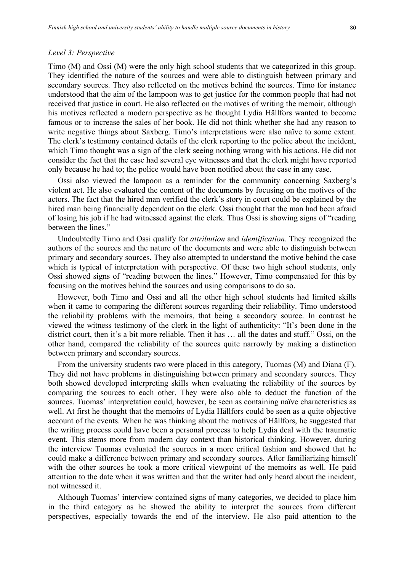#### *Level 3: Perspective*

Timo (M) and Ossi (M) were the only high school students that we categorized in this group. They identified the nature of the sources and were able to distinguish between primary and secondary sources. They also reflected on the motives behind the sources. Timo for instance understood that the aim of the lampoon was to get justice for the common people that had not received that justice in court. He also reflected on the motives of writing the memoir, although his motives reflected a modern perspective as he thought Lydia Hällfors wanted to become famous or to increase the sales of her book. He did not think whether she had any reason to write negative things about Saxberg. Timo's interpretations were also naïve to some extent. The clerk's testimony contained details of the clerk reporting to the police about the incident, which Timo thought was a sign of the clerk seeing nothing wrong with his actions. He did not consider the fact that the case had several eye witnesses and that the clerk might have reported only because he had to; the police would have been notified about the case in any case.

Ossi also viewed the lampoon as a reminder for the community concerning Saxberg's violent act. He also evaluated the content of the documents by focusing on the motives of the actors. The fact that the hired man verified the clerk's story in court could be explained by the hired man being financially dependent on the clerk. Ossi thought that the man had been afraid of losing his job if he had witnessed against the clerk. Thus Ossi is showing signs of "reading between the lines."

Undoubtedly Timo and Ossi qualify for *attribution* and *identification*. They recognized the authors of the sources and the nature of the documents and were able to distinguish between primary and secondary sources. They also attempted to understand the motive behind the case which is typical of interpretation with perspective. Of these two high school students, only Ossi showed signs of "reading between the lines." However, Timo compensated for this by focusing on the motives behind the sources and using comparisons to do so.

However, both Timo and Ossi and all the other high school students had limited skills when it came to comparing the different sources regarding their reliability. Timo understood the reliability problems with the memoirs, that being a secondary source. In contrast he viewed the witness testimony of the clerk in the light of authenticity: "It's been done in the district court, then it's a bit more reliable. Then it has … all the dates and stuff." Ossi, on the other hand, compared the reliability of the sources quite narrowly by making a distinction between primary and secondary sources.

From the university students two were placed in this category, Tuomas (M) and Diana (F). They did not have problems in distinguishing between primary and secondary sources. They both showed developed interpreting skills when evaluating the reliability of the sources by comparing the sources to each other. They were also able to deduct the function of the sources. Tuomas' interpretation could, however, be seen as containing naïve characteristics as well. At first he thought that the memoirs of Lydia Hällfors could be seen as a quite objective account of the events. When he was thinking about the motives of Hällfors, he suggested that the writing process could have been a personal process to help Lydia deal with the traumatic event. This stems more from modern day context than historical thinking. However, during the interview Tuomas evaluated the sources in a more critical fashion and showed that he could make a difference between primary and secondary sources. After familiarizing himself with the other sources he took a more critical viewpoint of the memoirs as well. He paid attention to the date when it was written and that the writer had only heard about the incident, not witnessed it.

Although Tuomas' interview contained signs of many categories, we decided to place him in the third category as he showed the ability to interpret the sources from different perspectives, especially towards the end of the interview. He also paid attention to the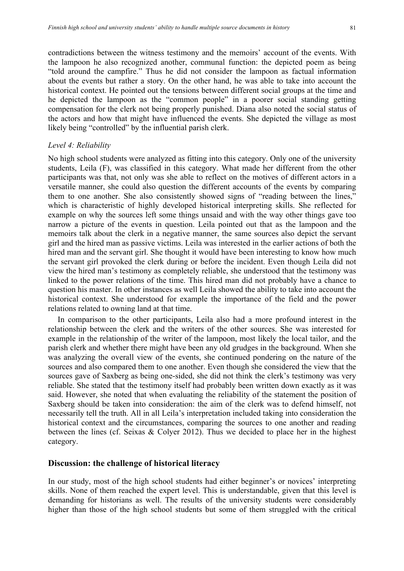contradictions between the witness testimony and the memoirs' account of the events. With the lampoon he also recognized another, communal function: the depicted poem as being "told around the campfire." Thus he did not consider the lampoon as factual information about the events but rather a story. On the other hand, he was able to take into account the historical context. He pointed out the tensions between different social groups at the time and he depicted the lampoon as the "common people" in a poorer social standing getting compensation for the clerk not being properly punished. Diana also noted the social status of the actors and how that might have influenced the events. She depicted the village as most likely being "controlled" by the influential parish clerk.

# *Level 4: Reliability*

No high school students were analyzed as fitting into this category. Only one of the university students, Leila (F), was classified in this category. What made her different from the other participants was that, not only was she able to reflect on the motives of different actors in a versatile manner, she could also question the different accounts of the events by comparing them to one another. She also consistently showed signs of "reading between the lines," which is characteristic of highly developed historical interpreting skills. She reflected for example on why the sources left some things unsaid and with the way other things gave too narrow a picture of the events in question. Leila pointed out that as the lampoon and the memoirs talk about the clerk in a negative manner, the same sources also depict the servant girl and the hired man as passive victims. Leila was interested in the earlier actions of both the hired man and the servant girl. She thought it would have been interesting to know how much the servant girl provoked the clerk during or before the incident. Even though Leila did not view the hired man's testimony as completely reliable, she understood that the testimony was linked to the power relations of the time. This hired man did not probably have a chance to question his master. In other instances as well Leila showed the ability to take into account the historical context. She understood for example the importance of the field and the power relations related to owning land at that time.

In comparison to the other participants, Leila also had a more profound interest in the relationship between the clerk and the writers of the other sources. She was interested for example in the relationship of the writer of the lampoon, most likely the local tailor, and the parish clerk and whether there might have been any old grudges in the background. When she was analyzing the overall view of the events, she continued pondering on the nature of the sources and also compared them to one another. Even though she considered the view that the sources gave of Saxberg as being one-sided, she did not think the clerk's testimony was very reliable. She stated that the testimony itself had probably been written down exactly as it was said. However, she noted that when evaluating the reliability of the statement the position of Saxberg should be taken into consideration: the aim of the clerk was to defend himself, not necessarily tell the truth. All in all Leila's interpretation included taking into consideration the historical context and the circumstances, comparing the sources to one another and reading between the lines (cf. Seixas & Colyer 2012). Thus we decided to place her in the highest category.

### **Discussion: the challenge of historical literacy**

In our study, most of the high school students had either beginner's or novices' interpreting skills. None of them reached the expert level. This is understandable, given that this level is demanding for historians as well. The results of the university students were considerably higher than those of the high school students but some of them struggled with the critical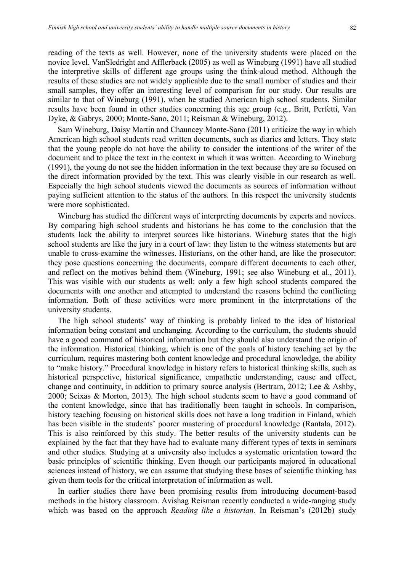reading of the texts as well. However, none of the university students were placed on the novice level. VanSledright and Afflerback (2005) as well as Wineburg (1991) have all studied the interpretive skills of different age groups using the think-aloud method. Although the results of these studies are not widely applicable due to the small number of studies and their small samples, they offer an interesting level of comparison for our study. Our results are similar to that of Wineburg (1991), when he studied American high school students. Similar results have been found in other studies concerning this age group (e.g., Britt, Perfetti, Van Dyke, & Gabrys, 2000; Monte-Sano, 2011; Reisman & Wineburg, 2012).

Sam Wineburg, Daisy Martin and Chauncey Monte-Sano (2011) criticize the way in which American high school students read written documents, such as diaries and letters. They state that the young people do not have the ability to consider the intentions of the writer of the document and to place the text in the context in which it was written. According to Wineburg (1991), the young do not see the hidden information in the text because they are so focused on the direct information provided by the text. This was clearly visible in our research as well. Especially the high school students viewed the documents as sources of information without paying sufficient attention to the status of the authors. In this respect the university students were more sophisticated.

Wineburg has studied the different ways of interpreting documents by experts and novices. By comparing high school students and historians he has come to the conclusion that the students lack the ability to interpret sources like historians. Wineburg states that the high school students are like the jury in a court of law: they listen to the witness statements but are unable to cross-examine the witnesses. Historians, on the other hand, are like the prosecutor: they pose questions concerning the documents, compare different documents to each other, and reflect on the motives behind them (Wineburg, 1991; see also Wineburg et al., 2011). This was visible with our students as well: only a few high school students compared the documents with one another and attempted to understand the reasons behind the conflicting information. Both of these activities were more prominent in the interpretations of the university students.

The high school students' way of thinking is probably linked to the idea of historical information being constant and unchanging. According to the curriculum, the students should have a good command of historical information but they should also understand the origin of the information. Historical thinking, which is one of the goals of history teaching set by the curriculum, requires mastering both content knowledge and procedural knowledge, the ability to "make history." Procedural knowledge in history refers to historical thinking skills, such as historical perspective, historical significance, empathetic understanding, cause and effect, change and continuity, in addition to primary source analysis (Bertram, 2012; Lee & Ashby, 2000; Seixas & Morton, 2013). The high school students seem to have a good command of the content knowledge, since that has traditionally been taught in schools. In comparison, history teaching focusing on historical skills does not have a long tradition in Finland, which has been visible in the students' poorer mastering of procedural knowledge (Rantala, 2012). This is also reinforced by this study. The better results of the university students can be explained by the fact that they have had to evaluate many different types of texts in seminars and other studies. Studying at a university also includes a systematic orientation toward the basic principles of scientific thinking. Even though our participants majored in educational sciences instead of history, we can assume that studying these bases of scientific thinking has given them tools for the critical interpretation of information as well.

In earlier studies there have been promising results from introducing document-based methods in the history classroom. Avishag Reisman recently conducted a wide-ranging study which was based on the approach *Reading like a historian.* In Reisman's (2012b) study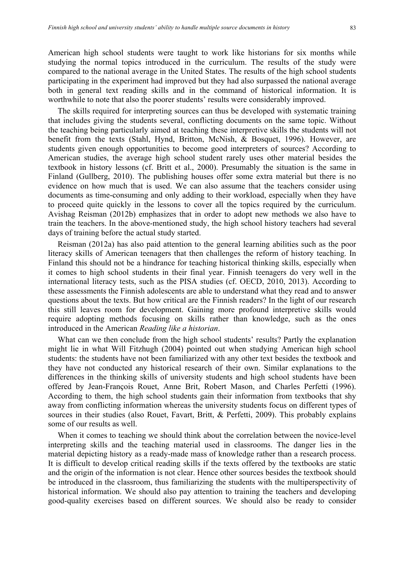American high school students were taught to work like historians for six months while studying the normal topics introduced in the curriculum. The results of the study were compared to the national average in the United States. The results of the high school students participating in the experiment had improved but they had also surpassed the national average both in general text reading skills and in the command of historical information. It is worthwhile to note that also the poorer students' results were considerably improved.

The skills required for interpreting sources can thus be developed with systematic training that includes giving the students several, conflicting documents on the same topic. Without the teaching being particularly aimed at teaching these interpretive skills the students will not benefit from the texts (Stahl, Hynd, Britton, McNish, & Bosquet, 1996). However, are students given enough opportunities to become good interpreters of sources? According to American studies, the average high school student rarely uses other material besides the textbook in history lessons (cf. Britt et al., 2000). Presumably the situation is the same in Finland (Gullberg, 2010). The publishing houses offer some extra material but there is no evidence on how much that is used. We can also assume that the teachers consider using documents as time-consuming and only adding to their workload, especially when they have to proceed quite quickly in the lessons to cover all the topics required by the curriculum. Avishag Reisman (2012b) emphasizes that in order to adopt new methods we also have to train the teachers. In the above-mentioned study, the high school history teachers had several days of training before the actual study started.

Reisman (2012a) has also paid attention to the general learning abilities such as the poor literacy skills of American teenagers that then challenges the reform of history teaching. In Finland this should not be a hindrance for teaching historical thinking skills, especially when it comes to high school students in their final year. Finnish teenagers do very well in the international literacy tests, such as the PISA studies (cf. OECD, 2010, 2013). According to these assessments the Finnish adolescents are able to understand what they read and to answer questions about the texts. But how critical are the Finnish readers? In the light of our research this still leaves room for development. Gaining more profound interpretive skills would require adopting methods focusing on skills rather than knowledge, such as the ones introduced in the American *Reading like a historian*.

What can we then conclude from the high school students' results? Partly the explanation might lie in what Will Fitzhugh (2004) pointed out when studying American high school students: the students have not been familiarized with any other text besides the textbook and they have not conducted any historical research of their own. Similar explanations to the differences in the thinking skills of university students and high school students have been offered by Jean-François Rouet, Anne Brit, Robert Mason, and Charles Perfetti (1996). According to them, the high school students gain their information from textbooks that shy away from conflicting information whereas the university students focus on different types of sources in their studies (also Rouet, Favart, Britt, & Perfetti, 2009). This probably explains some of our results as well.

When it comes to teaching we should think about the correlation between the novice-level interpreting skills and the teaching material used in classrooms. The danger lies in the material depicting history as a ready-made mass of knowledge rather than a research process. It is difficult to develop critical reading skills if the texts offered by the textbooks are static and the origin of the information is not clear. Hence other sources besides the textbook should be introduced in the classroom, thus familiarizing the students with the multiperspectivity of historical information. We should also pay attention to training the teachers and developing good-quality exercises based on different sources. We should also be ready to consider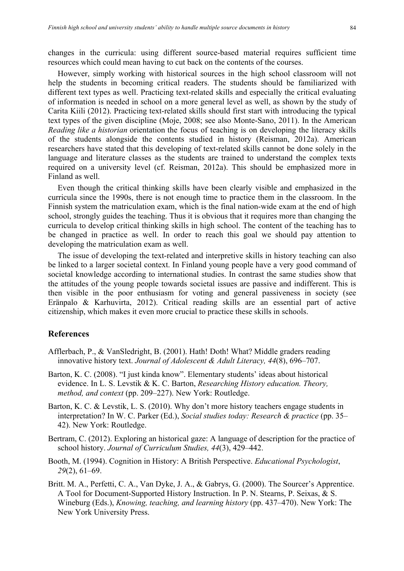changes in the curricula: using different source-based material requires sufficient time resources which could mean having to cut back on the contents of the courses.

However, simply working with historical sources in the high school classroom will not help the students in becoming critical readers. The students should be familiarized with different text types as well. Practicing text-related skills and especially the critical evaluating of information is needed in school on a more general level as well, as shown by the study of Carita Kiili (2012). Practicing text-related skills should first start with introducing the typical text types of the given discipline (Moje, 2008; see also Monte-Sano, 2011). In the American *Reading like a historian* orientation the focus of teaching is on developing the literacy skills of the students alongside the contents studied in history (Reisman, 2012a). American researchers have stated that this developing of text-related skills cannot be done solely in the language and literature classes as the students are trained to understand the complex texts required on a university level (cf. Reisman, 2012a). This should be emphasized more in Finland as well.

Even though the critical thinking skills have been clearly visible and emphasized in the curricula since the 1990s, there is not enough time to practice them in the classroom. In the Finnish system the matriculation exam, which is the final nation-wide exam at the end of high school, strongly guides the teaching. Thus it is obvious that it requires more than changing the curricula to develop critical thinking skills in high school. The content of the teaching has to be changed in practice as well. In order to reach this goal we should pay attention to developing the matriculation exam as well.

The issue of developing the text-related and interpretive skills in history teaching can also be linked to a larger societal context. In Finland young people have a very good command of societal knowledge according to international studies. In contrast the same studies show that the attitudes of the young people towards societal issues are passive and indifferent. This is then visible in the poor enthusiasm for voting and general passiveness in society (see Eränpalo & Karhuvirta, 2012). Critical reading skills are an essential part of active citizenship, which makes it even more crucial to practice these skills in schools.

# **References**

- Afflerbach, P., & VanSledright, B. (2001). Hath! Doth! What? Middle graders reading innovative history text. *Journal of Adolescent & Adult Literacy, 44*(8), 696–707.
- Barton, K. C. (2008). "I just kinda know". Elementary students' ideas about historical evidence. In L. S. Levstik & K. C. Barton, *Researching History education. Theory, method, and context* (pp. 209–227). New York: Routledge.
- Barton, K. C. & Levstik, L. S. (2010). Why don't more history teachers engage students in interpretation? In W. C. Parker (Ed.), *Social studies today: Research & practice* (pp. 35– 42). New York: Routledge.
- Bertram, C. (2012). Exploring an historical gaze: A language of description for the practice of school history. *Journal of Curriculum Studies, 44*(3), 429–442.
- Booth, M. (1994). Cognition in History: A British Perspective. *Educational Psychologist*, *29*(2), 61–69.
- Britt. M. A., Perfetti, C. A., Van Dyke, J. A., & Gabrys, G. (2000). The Sourcer's Apprentice. A Tool for Document-Supported History Instruction. In P. N. Stearns, P. Seixas, & S. Wineburg (Eds.), *Knowing, teaching, and learning history* (pp. 437–470). New York: The New York University Press.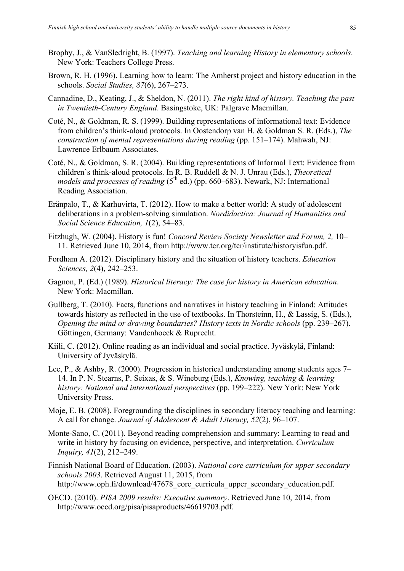- Brophy, J., & VanSledright, B. (1997). *Teaching and learning History in elementary schools*. New York: Teachers College Press.
- Brown, R. H. (1996). Learning how to learn: The Amherst project and history education in the schools. *Social Studies, 87*(6), 267–273.
- Cannadine, D., Keating, J., & Sheldon, N. (2011). *The right kind of history. Teaching the past in Twentieth-Century England*. Basingstoke, UK: Palgrave Macmillan.
- Coté, N., & Goldman, R. S. (1999). Building representations of informational text: Evidence from children's think-aloud protocols. In Oostendorp van H. & Goldman S. R. (Eds.), *The construction of mental representations during reading* (pp. 151–174). Mahwah, NJ: Lawrence Erlbaum Associates.
- Coté, N., & Goldman, S. R. (2004). Building representations of Informal Text: Evidence from children's think-aloud protocols. In R. B. Ruddell & N. J. Unrau (Eds.), *Theoretical models and processes of reading*  $(5<sup>th</sup>$  ed.) (pp. 660–683). Newark, NJ: International Reading Association.
- Eränpalo, T., & Karhuvirta, T. (2012). How to make a better world: A study of adolescent deliberations in a problem-solving simulation. *Nordidactica: Journal of Humanities and Social Science Education, 1*(2), 54–83.
- Fitzhugh, W. (2004). History is fun! *Concord Review Society Newsletter and Forum, 2,* 10– 11. Retrieved June 10, 2014, from http://www.tcr.org/tcr/institute/historyisfun.pdf.
- Fordham A. (2012). Disciplinary history and the situation of history teachers. *Education Sciences, 2*(4), 242–253.
- Gagnon, P. (Ed.) (1989). *Historical literacy: The case for history in American education*. New York: Macmillan.
- Gullberg, T. (2010). Facts, functions and narratives in history teaching in Finland: Attitudes towards history as reflected in the use of textbooks. In Thorsteinn, H., & Lassig, S. (Eds.), *Opening the mind or drawing boundaries? History texts in Nordic schools* (pp. 239–267). Göttingen, Germany: Vandenhoeck & Ruprecht.
- Kiili, C. (2012). Online reading as an individual and social practice. Jyväskylä, Finland: University of Jyväskylä.
- Lee, P., & Ashby, R. (2000). Progression in historical understanding among students ages 7– 14. In P. N. Stearns, P. Seixas, & S. Wineburg (Eds.), *Knowing, teaching & learning history: National and international perspectives* (pp. 199–222). New York: New York University Press.
- Moje, E. B. (2008). Foregrounding the disciplines in secondary literacy teaching and learning: A call for change. *Journal of Adolescent & Adult Literacy, 52*(2), 96–107.
- Monte-Sano, C. (2011). Beyond reading comprehension and summary: Learning to read and write in history by focusing on evidence, perspective, and interpretation. *Curriculum Inquiry, 41*(2), 212–249.
- Finnish National Board of Education. (2003). *National core curriculum for upper secondary schools 2003*. Retrieved August 11, 2015, from http://www.oph.fi/download/47678 core curricula upper secondary education.pdf.
- OECD. (2010). *PISA 2009 results: Executive summary*. Retrieved June 10, 2014, from http://www.oecd.org/pisa/pisaproducts/46619703.pdf.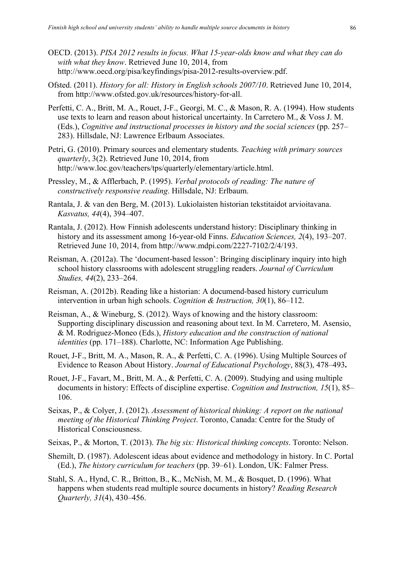- OECD. (2013). *PISA 2012 results in focus. What 15-year-olds know and what they can do with what they know*. Retrieved June 10, 2014, from http://www.oecd.org/pisa/keyfindings/pisa-2012-results-overview.pdf.
- Ofsted. (2011). *History for all: History in English schools 2007/10*. Retrieved June 10, 2014, from http://www.ofsted.gov.uk/resources/history-for-all.
- Perfetti, C. A., Britt, M. A., Rouet, J-F., Georgi, M. C., & Mason, R. A. (1994). How students use texts to learn and reason about historical uncertainty. In Carretero M., & Voss J. M. (Eds.), *Cognitive and instructional processes in history and the social sciences* (pp. 257– 283). Hillsdale, NJ: Lawrence Erlbaum Associates.
- Petri, G. (2010). Primary sources and elementary students. *Teaching with primary sources quarterly*, 3(2). Retrieved June 10, 2014, from http://www.loc.gov/teachers/tps/quarterly/elementary/article.html.
- Pressley, M., & Afflerbach, P. (1995). *Verbal protocols of reading: The nature of constructively responsive reading*. Hillsdale, NJ: Erlbaum.
- Rantala, J. & van den Berg, M. (2013). Lukiolaisten historian tekstitaidot arvioitavana. *Kasvatus, 44*(4), 394–407.
- Rantala, J. (2012). How Finnish adolescents understand history: Disciplinary thinking in history and its assessment among 16-year-old Finns. *Education Sciences, 2*(4), 193–207. Retrieved June 10, 2014, from http://www.mdpi.com/2227-7102/2/4/193.
- Reisman, A. (2012a). The 'document-based lesson': Bringing disciplinary inquiry into high school history classrooms with adolescent struggling readers. *Journal of Curriculum Studies, 44*(2), 233–264.
- Reisman, A. (2012b). Reading like a historian: A documend-based history curriculum intervention in urban high schools. *Cognition & Instruction, 30*(1), 86–112.
- Reisman, A., & Wineburg, S. (2012). Ways of knowing and the history classroom: Supporting disciplinary discussion and reasoning about text. In M. Carretero, M. Asensio, & M. Rodriguez-Moneo (Eds.), *History education and the construction of national identities* (pp. 171–188). Charlotte, NC: Information Age Publishing.
- Rouet, J-F., Britt, M. A., Mason, R. A., & Perfetti, C. A. (1996). Using Multiple Sources of Evidence to Reason About History. *Journal of Educational Psychology*, 88(3), 478–493**.**
- Rouet, J-F., Favart, M., Britt, M. A., & Perfetti, C. A. (2009). Studying and using multiple documents in history: Effects of discipline expertise. *Cognition and Instruction, 15*(1), 85– 106.
- Seixas, P., & Colyer, J. (2012). *Assessment of historical thinking: A report on the national meeting of the Historical Thinking Project*. Toronto, Canada: Centre for the Study of Historical Consciousness.
- Seixas, P., & Morton, T. (2013). *The big six: Historical thinking concepts*. Toronto: Nelson.
- Shemilt, D. (1987). Adolescent ideas about evidence and methodology in history. In C. Portal (Ed.), *The history curriculum for teachers* (pp. 39–61). London, UK: Falmer Press.
- Stahl, S. A., Hynd, C. R., Britton, B., K., McNish, M. M., & Bosquet, D. (1996). What happens when students read multiple source documents in history? *Reading Research Quarterly, 31*(4), 430–456.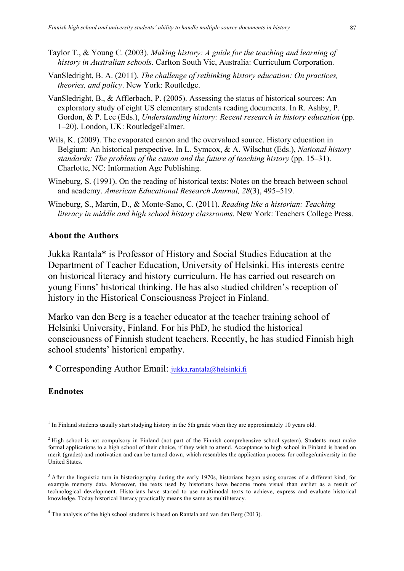- Taylor T., & Young C. (2003). *Making history: A guide for the teaching and learning of history in Australian schools*. Carlton South Vic, Australia: Curriculum Corporation.
- VanSledright, B. A. (2011). *The challenge of rethinking history education: On practices, theories, and policy*. New York: Routledge.
- VanSledright, B., & Afflerbach, P. (2005). Assessing the status of historical sources: An exploratory study of eight US elementary students reading documents. In R. Ashby, P. Gordon, & P. Lee (Eds.), *Understanding history: Recent research in history education* (pp. 1–20). London, UK: RoutledgeFalmer.
- Wils, K. (2009). The evaporated canon and the overvalued source. History education in Belgium: An historical perspective. In L. Symcox, & A. Wilschut (Eds.), *National history standards: The problem of the canon and the future of teaching history* (pp. 15–31). Charlotte, NC: Information Age Publishing.
- Wineburg, S. (1991). On the reading of historical texts: Notes on the breach between school and academy. *American Educational Research Journal, 28*(3), 495–519.
- Wineburg, S., Martin, D., & Monte-Sano, C. (2011). *Reading like a historian: Teaching literacy in middle and high school history classrooms*. New York: Teachers College Press.

# **About the Authors**

Jukka Rantala\* is Professor of History and Social Studies Education at the Department of Teacher Education, University of Helsinki. His interests centre on historical literacy and history curriculum. He has carried out research on young Finns' historical thinking. He has also studied children's reception of history in the Historical Consciousness Project in Finland.

Marko van den Berg is a teacher educator at the teacher training school of Helsinki University, Finland. For his PhD, he studied the historical consciousness of Finnish student teachers. Recently, he has studied Finnish high school students' historical empathy.

\* Corresponding Author Email: jukka.rantala@helsinki.fi

# **Endnotes**

j

 $<sup>1</sup>$  In Finland students usually start studying history in the 5th grade when they are approximately 10 years old.</sup>

<sup>&</sup>lt;sup>2</sup> High school is not compulsory in Finland (not part of the Finnish comprehensive school system). Students must make formal applications to a high school of their choice, if they wish to attend. Acceptance to high school in Finland is based on merit (grades) and motivation and can be turned down, which resembles the application process for college/university in the United States.

<sup>&</sup>lt;sup>3</sup> After the linguistic turn in historiography during the early 1970s, historians began using sources of a different kind, for example memory data. Moreover, the texts used by historians have become more visual than earlier as a result of technological development. Historians have started to use multimodal texts to achieve, express and evaluate historical knowledge. Today historical literacy practically means the same as multiliteracy.

<sup>4</sup> The analysis of the high school students is based on Rantala and van den Berg (2013).